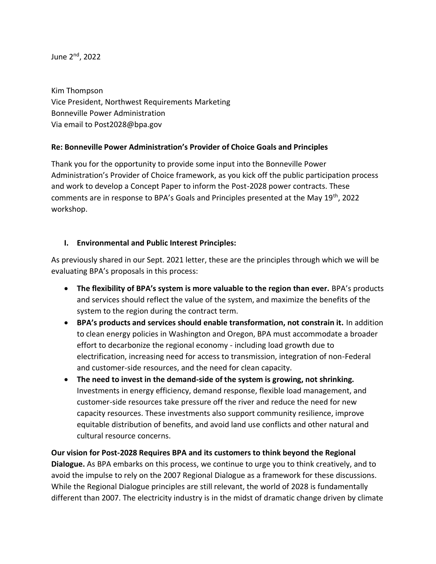June 2nd, 2022

Kim Thompson Vice President, Northwest Requirements Marketing Bonneville Power Administration Via email to Post2028@bpa.gov

### **Re: Bonneville Power Administration's Provider of Choice Goals and Principles**

Thank you for the opportunity to provide some input into the Bonneville Power Administration's Provider of Choice framework, as you kick off the public participation process and work to develop a Concept Paper to inform the Post-2028 power contracts. These comments are in response to BPA's Goals and Principles presented at the May 19th, 2022 workshop.

### **I. Environmental and Public Interest Principles:**

As previously shared in our Sept. 2021 letter, these are the principles through which we will be evaluating BPA's proposals in this process:

- **The flexibility of BPA's system is more valuable to the region than ever.** BPA's products and services should reflect the value of the system, and maximize the benefits of the system to the region during the contract term.
- **BPA's products and services should enable transformation, not constrain it.** In addition to clean energy policies in Washington and Oregon, BPA must accommodate a broader effort to decarbonize the regional economy - including load growth due to electrification, increasing need for access to transmission, integration of non-Federal and customer-side resources, and the need for clean capacity.
- **The need to invest in the demand-side of the system is growing, not shrinking.**  Investments in energy efficiency, demand response, flexible load management, and customer-side resources take pressure off the river and reduce the need for new capacity resources. These investments also support community resilience, improve equitable distribution of benefits, and avoid land use conflicts and other natural and cultural resource concerns.

**Our vision for Post-2028 Requires BPA and its customers to think beyond the Regional Dialogue.** As BPA embarks on this process, we continue to urge you to think creatively, and to avoid the impulse to rely on the 2007 Regional Dialogue as a framework for these discussions. While the Regional Dialogue principles are still relevant, the world of 2028 is fundamentally different than 2007. The electricity industry is in the midst of dramatic change driven by climate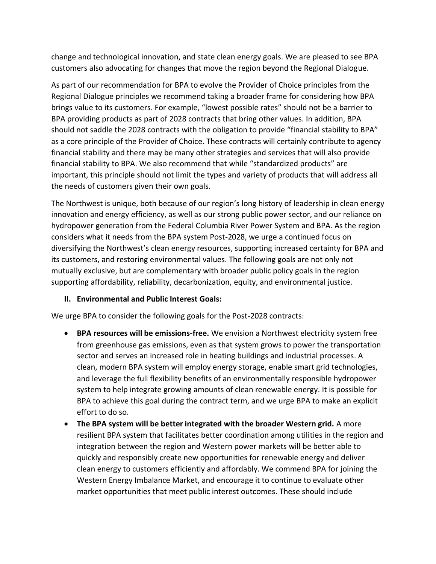change and technological innovation, and state clean energy goals. We are pleased to see BPA customers also advocating for changes that move the region beyond the Regional Dialogue.

As part of our recommendation for BPA to evolve the Provider of Choice principles from the Regional Dialogue principles we recommend taking a broader frame for considering how BPA brings value to its customers. For example, "lowest possible rates" should not be a barrier to BPA providing products as part of 2028 contracts that bring other values. In addition, BPA should not saddle the 2028 contracts with the obligation to provide "financial stability to BPA" as a core principle of the Provider of Choice. These contracts will certainly contribute to agency financial stability and there may be many other strategies and services that will also provide financial stability to BPA. We also recommend that while "standardized products" are important, this principle should not limit the types and variety of products that will address all the needs of customers given their own goals.

The Northwest is unique, both because of our region's long history of leadership in clean energy innovation and energy efficiency, as well as our strong public power sector, and our reliance on hydropower generation from the Federal Columbia River Power System and BPA. As the region considers what it needs from the BPA system Post-2028, we urge a continued focus on diversifying the Northwest's clean energy resources, supporting increased certainty for BPA and its customers, and restoring environmental values. The following goals are not only not mutually exclusive, but are complementary with broader public policy goals in the region supporting affordability, reliability, decarbonization, equity, and environmental justice.

### **II. Environmental and Public Interest Goals:**

We urge BPA to consider the following goals for the Post-2028 contracts:

- **BPA resources will be emissions-free.** We envision a Northwest electricity system free from greenhouse gas emissions, even as that system grows to power the transportation sector and serves an increased role in heating buildings and industrial processes. A clean, modern BPA system will employ energy storage, enable smart grid technologies, and leverage the full flexibility benefits of an environmentally responsible hydropower system to help integrate growing amounts of clean renewable energy. It is possible for BPA to achieve this goal during the contract term, and we urge BPA to make an explicit effort to do so.
- **The BPA system will be better integrated with the broader Western grid.** A more resilient BPA system that facilitates better coordination among utilities in the region and integration between the region and Western power markets will be better able to quickly and responsibly create new opportunities for renewable energy and deliver clean energy to customers efficiently and affordably. We commend BPA for joining the Western Energy Imbalance Market, and encourage it to continue to evaluate other market opportunities that meet public interest outcomes. These should include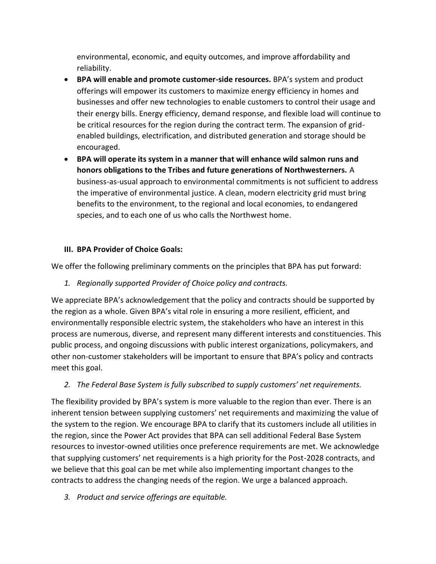environmental, economic, and equity outcomes, and improve affordability and reliability.

- **BPA will enable and promote customer-side resources.** BPA's system and product offerings will empower its customers to maximize energy efficiency in homes and businesses and offer new technologies to enable customers to control their usage and their energy bills. Energy efficiency, demand response, and flexible load will continue to be critical resources for the region during the contract term. The expansion of gridenabled buildings, electrification, and distributed generation and storage should be encouraged.
- **BPA will operate its system in a manner that will enhance wild salmon runs and honors obligations to the Tribes and future generations of Northwesterners.** A business-as-usual approach to environmental commitments is not sufficient to address the imperative of environmental justice. A clean, modern electricity grid must bring benefits to the environment, to the regional and local economies, to endangered species, and to each one of us who calls the Northwest home.

# **III. BPA Provider of Choice Goals:**

We offer the following preliminary comments on the principles that BPA has put forward:

*1. Regionally supported Provider of Choice policy and contracts.*

We appreciate BPA's acknowledgement that the policy and contracts should be supported by the region as a whole. Given BPA's vital role in ensuring a more resilient, efficient, and environmentally responsible electric system, the stakeholders who have an interest in this process are numerous, diverse, and represent many different interests and constituencies. This public process, and ongoing discussions with public interest organizations, policymakers, and other non-customer stakeholders will be important to ensure that BPA's policy and contracts meet this goal.

# *2. The Federal Base System is fully subscribed to supply customers' net requirements.*

The flexibility provided by BPA's system is more valuable to the region than ever. There is an inherent tension between supplying customers' net requirements and maximizing the value of the system to the region. We encourage BPA to clarify that its customers include all utilities in the region, since the Power Act provides that BPA can sell additional Federal Base System resources to investor-owned utilities once preference requirements are met. We acknowledge that supplying customers' net requirements is a high priority for the Post-2028 contracts, and we believe that this goal can be met while also implementing important changes to the contracts to address the changing needs of the region. We urge a balanced approach.

*3. Product and service offerings are equitable.*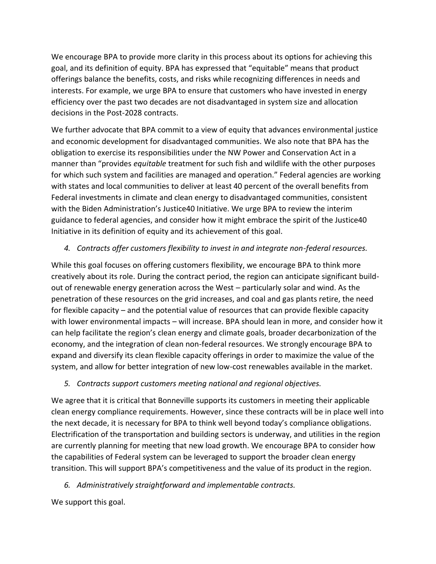We encourage BPA to provide more clarity in this process about its options for achieving this goal, and its definition of equity. BPA has expressed that "equitable" means that product offerings balance the benefits, costs, and risks while recognizing differences in needs and interests. For example, we urge BPA to ensure that customers who have invested in energy efficiency over the past two decades are not disadvantaged in system size and allocation decisions in the Post-2028 contracts.

We further advocate that BPA commit to a view of equity that advances environmental justice and economic development for disadvantaged communities. We also note that BPA has the obligation to exercise its responsibilities under the NW Power and Conservation Act in a manner than "provides *equitable* treatment for such fish and wildlife with the other purposes for which such system and facilities are managed and operation." Federal agencies are working with states and local communities to deliver at least 40 percent of the overall benefits from Federal investments in climate and clean energy to disadvantaged communities, consistent with the Biden Administration's Justice40 Initiative. We urge BPA to review the interim guidance to federal agencies, and consider how it might embrace the spirit of the Justice40 Initiative in its definition of equity and its achievement of this goal.

# *4. Contracts offer customers flexibility to invest in and integrate non-federal resources.*

While this goal focuses on offering customers flexibility, we encourage BPA to think more creatively about its role. During the contract period, the region can anticipate significant buildout of renewable energy generation across the West – particularly solar and wind. As the penetration of these resources on the grid increases, and coal and gas plants retire, the need for flexible capacity – and the potential value of resources that can provide flexible capacity with lower environmental impacts – will increase. BPA should lean in more, and consider how it can help facilitate the region's clean energy and climate goals, broader decarbonization of the economy, and the integration of clean non-federal resources. We strongly encourage BPA to expand and diversify its clean flexible capacity offerings in order to maximize the value of the system, and allow for better integration of new low-cost renewables available in the market.

### *5. Contracts support customers meeting national and regional objectives.*

We agree that it is critical that Bonneville supports its customers in meeting their applicable clean energy compliance requirements. However, since these contracts will be in place well into the next decade, it is necessary for BPA to think well beyond today's compliance obligations. Electrification of the transportation and building sectors is underway, and utilities in the region are currently planning for meeting that new load growth. We encourage BPA to consider how the capabilities of Federal system can be leveraged to support the broader clean energy transition. This will support BPA's competitiveness and the value of its product in the region.

### *6. Administratively straightforward and implementable contracts.*

We support this goal.